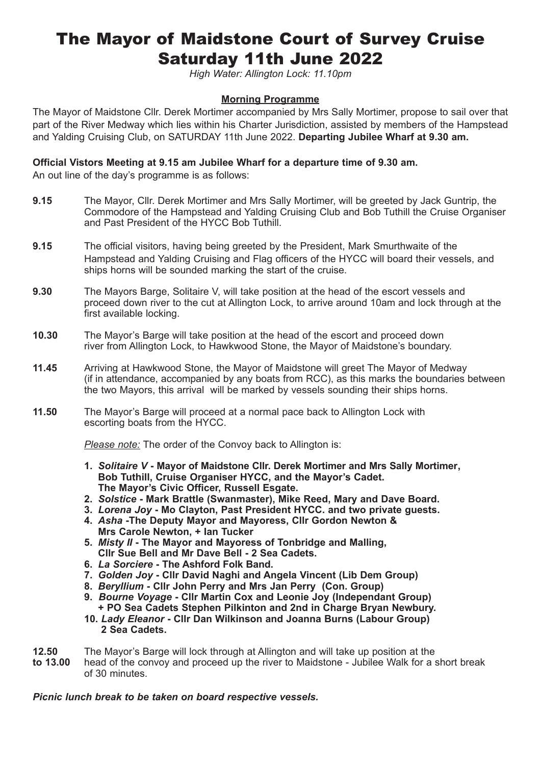# The Mayor of Maidstone Court of Survey Cruise Saturday 11th June 2022

*High Water: Allington Lock: 11.10pm*

### **Morning Programme**

The Mayor of Maidstone Cllr. Derek Mortimer accompanied by Mrs Sally Mortimer, propose to sail over that part of the River Medway which lies within his Charter Jurisdiction, assisted by members of the Hampstead and Yalding Cruising Club, on SATURDAY 11th June 2022. **Departing Jubilee Wharf at 9.30 am.**

#### **Official Vistors Meeting at 9.15 am Jubilee Wharf for a departure time of 9.30 am.**

An out line of the day's programme is as follows:

- **9.15** The Mayor, Cllr. Derek Mortimer and Mrs Sally Mortimer, will be greeted by Jack Guntrip, the Commodore of the Hampstead and Yalding Cruising Club and Bob Tuthill the Cruise Organiser and Past President of the HYCC Bob Tuthill.
- **9.15** The official visitors, having being greeted by the President, Mark Smurthwaite of the Hampstead and Yalding Cruising and Flag officers of the HYCC will board their vessels, and ships horns will be sounded marking the start of the cruise.
- **9.30** The Mayors Barge, Solitaire V, will take position at the head of the escort vessels and proceed down river to the cut at Allington Lock, to arrive around 10am and lock through at the first available locking.
- **10.30** The Mayor's Barge will take position at the head of the escort and proceed down river from Allington Lock, to Hawkwood Stone, the Mayor of Maidstone's boundary.
- **11.45** Arriving at Hawkwood Stone, the Mayor of Maidstone will greet The Mayor of Medway (if in attendance, accompanied by any boats from RCC), as this marks the boundaries between the two Mayors, this arrival will be marked by vessels sounding their ships horns.
- **11.50** The Mayor's Barge will proceed at a normal pace back to Allington Lock with escorting boats from the HYCC.

 *Please note:* The order of the Convoy back to Allington is:

- **1.** *Solitaire V* **Mayor of Maidstone Cllr. Derek Mortimer and Mrs Sally Mortimer, Bob Tuthill, Cruise Organiser HYCC, and the Mayor's Cadet. The Mayor's Civic Officer, Russell Esgate.**
- **2.** *Solstice* **Mark Brattle (Swanmaster), Mike Reed, Mary and Dave Board.**
- **3.** *Lorena Joy* **Mo Clayton, Past President HYCC. and two private guests.**
- **4.** *Asha* **-The Deputy Mayor and Mayoress, Cllr Gordon Newton & Mrs Carole Newton, + Ian Tucker**
- **5.** *Misty II*  **The Mayor and Mayoress of Tonbridge and Malling, Cllr Sue Bell and Mr Dave Bell - 2 Sea Cadets.**
- **6.** *La Sorciere* **The Ashford Folk Band.**
- **7.** *Golden Joy* **Cllr David Naghi and Angela Vincent (Lib Dem Group)**
- **8.** *Beryllium*  **Cllr John Perry and Mrs Jan Perry (Con. Group)**
- **9.** *Bourne Voyage* **Cllr Martin Cox and Leonie Joy (Independant Group)**
- **+ PO Sea Cadets Stephen Pilkinton and 2nd in Charge Bryan Newbury. 10.** *Lady Eleanor* **- Cllr Dan Wilkinson and Joanna Burns (Labour Group)**
- **12.50** The Mayor's Barge will lock through at Allington and will take up position at the
- **to 13.00** head of the convoy and proceed up the river to Maidstone Jubilee Walk for a short break of 30 minutes.

#### *Picnic lunch break to be taken on board respective vessels.*

 **2 Sea Cadets.**